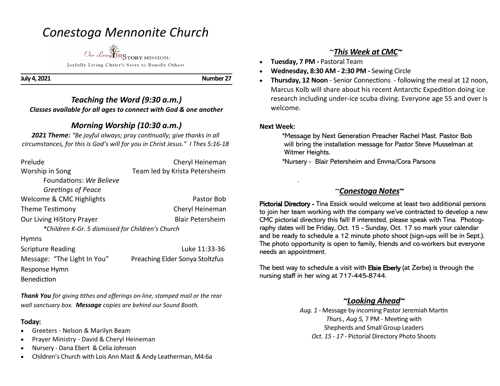# *Conestoga Mennonite Church*



**July 4, 2021 Number 27** 

### *Teaching the Word (9:30 a.m.) Classes available for all ages to connect with God & one another*

# *Morning Worship (10:30 a.m.)*

*2021 Theme: "Be joyful always; pray continually; give thanks in all circumstances, for this is God's will for you in Christ Jesus." I Thes 5:16-18*

| Prelude                                           | Cheryl Heineman                 |
|---------------------------------------------------|---------------------------------|
| Worship in Song                                   | Team led by Krista Petersheim   |
| Foundations: We Believe                           |                                 |
| Greetings of Peace                                |                                 |
| Welcome & CMC Highlights                          | Pastor Bob                      |
| Theme Testimony                                   | Cheryl Heineman                 |
| Our Living HiStory Prayer                         | <b>Blair Petersheim</b>         |
| *Children K-Gr. 5 dismissed for Children's Church |                                 |
| <b>Hymns</b>                                      |                                 |
| <b>Scripture Reading</b>                          | Luke 11:33-36                   |
| Message: "The Light In You"                       | Preaching Elder Sonya Stoltzfus |
| Response Hymn                                     |                                 |
| Benediction                                       |                                 |

*Thank You for giving tithes and offerings on-line, stamped mail or the rear wall sanctuary box. Message copies are behind our Sound Booth.*

#### **Today:**

- Greeters Nelson & Marilyn Beam
- Prayer Ministry David & Cheryl Heineman
- Nursery Dana Ebert & Celia Johnson
- Children's Church with Lois Ann Mast & Andy Leatherman, M4:6a

# ~*This Week at CMC~*

- **Tuesday, 7 PM -** Pastoral Team
- **Wednesday, 8:30 AM - 2:30 PM -** Sewing Circle
- **Thursday, 12 Noon**  Senior Connections following the meal at 12 noon, Marcus Kolb will share about his recent Antarctic Expedition doing ice research including under-ice scuba diving. Everyone age 55 and over is welcome.

#### **Next Week:**

.

 \*Message by Next Generation Preacher Rachel Mast. Pastor Bob will bring the installation message for Pastor Steve Musselman at Witmer Heights.

\*Nursery - Blair Petersheim and Emma/Cora Parsons

## ~*Conestoga Notes~*

Pictorial Directory - Tina Essick would welcome at least two additional persons to join her team working with the company we've contracted to develop a new CMC pictorial directory this fall! If interested, please speak with Tina. Photography dates will be Friday, Oct. 15 - Sunday, Oct. 17 so mark your calendar and be ready to schedule a 12 minute photo shoot (sign-ups will be in Sept.). The photo opportunity is open to family, friends and co-workers but everyone needs an appointment.

The best way to schedule a visit with Elsie Eberly (at Zerbe) is through the nursing staff in her wing at 717-445-8744.

### *~Looking Ahead~*

*Aug. 1 -* Message by incoming Pastor Jeremiah Martin *Thurs., Aug 5,* 7 PM - Meeting with Shepherds and Small Group Leaders *Oct. 15 - 17 -* Pictorial Directory Photo Shoots